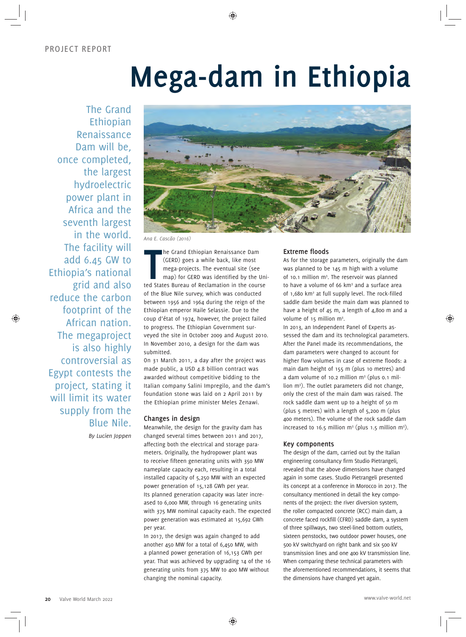# **Mega-dam in Ethiopia**

The Grand Ethiopian Renaissance Dam will be, once completed, the largest hydroelectric power plant in Africa and the seventh largest in the world. The facility will add 6.45 GW to Ethiopia's national grid and also reduce the carbon footprint of the African nation. The megaproject is also highly controversial as Egypt contests the project, stating it will limit its water supply from the Blue Nile. *By Lucien Joppen*



*Ana E. Cascão (2016)*

**THE CERD** States Bureau of Reclamation in the course of the course of the course of the course of States Bureau of Reclamation in the course he Grand Ethiopian Renaissance Dam (GERD) goes a while back, like most mega-projects. The eventual site (see map) for GERD was identified by the Uniof the Blue Nile survey, which was conducted between 1956 and 1964 during the reign of the Ethiopian emperor Haile Selassie. Due to the coup d'état of 1974, however, the project failed to progress. The Ethiopian Government surveyed the site in October 2009 and August 2010. In November 2010, a design for the dam was submitted.

On 31 March 2011, a day after the project was made public, a USD 4.8 billion contract was awarded without competitive bidding to the Italian company Salini Impregilo, and the dam's foundation stone was laid on 2 April 2011 by the Ethiopian prime minister Meles Zenawi.

# **Changes in design**

Meanwhile, the design for the gravity dam has changed several times between 2011 and 2017, affecting both the electrical and storage parameters. Originally, the hydropower plant was to receive fifteen generating units with 350 MW nameplate capacity each, resulting in a total installed capacity of 5,250 MW with an expected power generation of 15,128 GWh per year. Its planned generation capacity was later increased to 6,000 MW, through 16 generating units with 375 MW nominal capacity each. The expected power generation was estimated at 15,692 GWh per year.

In 2017, the design was again changed to add another 450 MW for a total of 6,450 MW, with a planned power generation of 16,153 GWh per year. That was achieved by upgrading 14 of the 16 generating units from 375 MW to 400 MW without changing the nominal capacity.

## **Extreme floods**

As for the storage parameters, originally the dam was planned to be 145 m high with a volume of 10.1 million m<sup>3</sup>. The reservoir was planned to have a volume of 66 km<sup>3</sup> and a surface area of 1,680 km2 at full supply level. The rock-filled saddle dam beside the main dam was planned to have a height of 45 m, a length of 4,800 m and a volume of 15 million m<sup>3</sup>.

In 2013, an Independent Panel of Experts assessed the dam and its technological parameters. After the Panel made its recommendations, the dam parameters were changed to account for higher flow volumes in case of extreme floods: a main dam height of 155 m (plus 10 metres) and a dam volume of 10.2 million m<sup>3</sup> (plus 0.1 million m3 ). The outlet parameters did not change, only the crest of the main dam was raised. The rock saddle dam went up to a height of 50 m (plus 5 metres) with a length of 5,200 m (plus 400 meters). The volume of the rock saddle dam increased to 16.5 million  $m^3$  (plus 1.5 million  $m^3$ ).

### **Key components**

The design of the dam, carried out by the Italian engineering consultancy firm Studio Pietrangeli, revealed that the above dimensions have changed again in some cases. Studio Pietrangeli presented its concept at a conference in Morocco in 2017. The consultancy mentioned in detail the key components of the project: the river diversion system, the roller compacted concrete (RCC) main dam, a concrete faced rockfill (CFRD) saddle dam, a system of three spillways, two steel-lined bottom outlets, sixteen penstocks, two outdoor power houses, one 500 kV switchyard on right bank and six 500 kV transmission lines and one 400 kV transmission line. When comparing these technical parameters with the aforementioned recommendations, it seems that the dimensions have changed yet again.